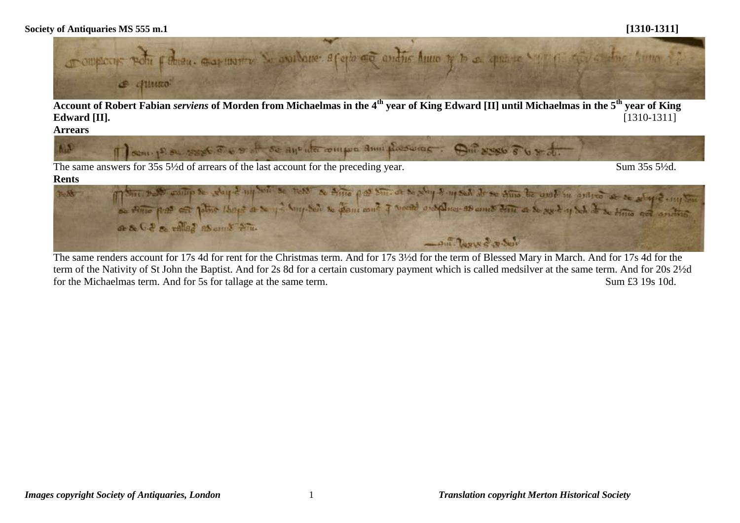

**Account of Robert Fabian** *serviens* **of Morden from Michaelmas in the 4th year of King Edward [II] until Michaelmas in the 5th year of King Edward [II].** [1310-1311]

**Arrears**



The same answers for 35s 5<sup>1/2</sup>d of arrears of the last account for the preceding year. Sum 35s 5<sup>1/2</sup>d.

#### **Rents**



The same renders account for 17s 4d for rent for the Christmas term. And for 17s 3½d for the term of Blessed Mary in March. And for 17s 4d for the term of the Nativity of St John the Baptist. And for 2s 8d for a certain customary payment which is called medsilver at the same term. And for 20s 2½d for the Michaelmas term. And for 5s for tallage at the same term. Sum £3 19s 10d.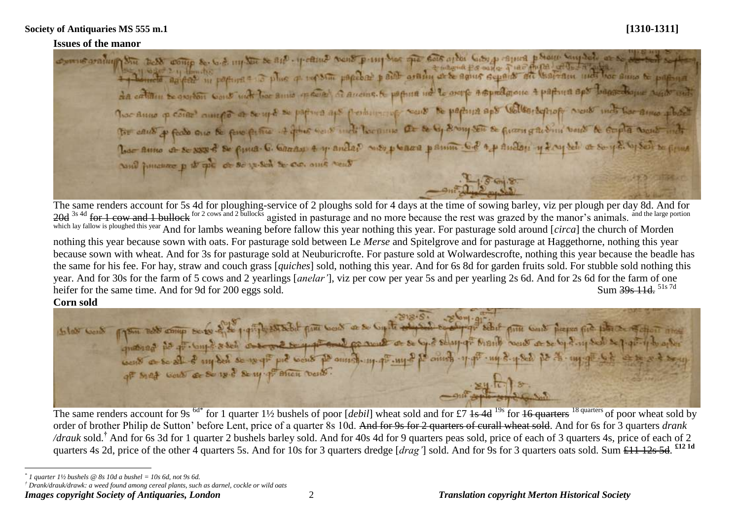### **Issues of the manor**

comme availing the best comp se 6.2 mg to se and y came went pring the pe best arter Gibs progres phone singlet or so a magna Po only Tias Auna with the which agent in portion and plus of top some papeles paint arading or be agnes separate are there are to purpose to purp da cation se oviton sont met for sono mare a anome. A popun no le overe aspragone a partona spo banselone sado not The Anno p coine ant of a sent se papira aps perhapsing sons to papina aps voltor septor sons indiversame phoet The cause of feeds one be fore future . I give we will be prime at to by strong son to future a subinit bonds to stuple would into har anno a se sse of se fina. C. Garan & y anda? was place panin. Go ap andan y day tel a se y di ly ser se fina and human p is all or so what to co. and went

The same renders account for 5s 4d for ploughing-service of 2 ploughs sold for 4 days at the time of sowing barley, viz per plough per day 8d. And for 20d <sup>3s 4d</sup> for 1 cow and 1 bullock for 2 cows and 2 bullocks agisted in pasturage and no more because the rest was grazed by the manor's animals. <sup>and the large portion</sup> which lay fallow is ploughed this year And for lambs weaning before fallow this year nothing this year. For pasturage sold around [*circa*] the church of Morden nothing this year because sown with oats. For pasturage sold between Le *Merse* and Spitelgrove and for pasturage at Haggethorne, nothing this year because sown with wheat. And for 3s for pasturage sold at Neuburicrofte. For pasture sold at Wolwardescrofte, nothing this year because the beadle has the same for his fee. For hay, straw and couch grass [*quiches*] sold, nothing this year. And for 6s 8d for garden fruits sold. For stubble sold nothing this year. And for 30s for the farm of 5 cows and 2 yearlings [*anelar'*], viz per cow per year 5s and per yearling 2s 6d. And for 2s 6d for the farm of one heifer for the same time. And for 9d for 200 eggs sold. heifer for the same time. And for 9d for 200 eggs sold.

# **Corn sold**

 $\overline{a}$ 



The same renders account for 9s <sup>6d\*</sup> for 1 quarter 1½ bushels of poor [*debil*] wheat sold and for £7 1s 4d <sup>19s</sup> for 16 quarters <sup>18 quarters</sup> of poor wheat sold by order of brother Philip de Sutton' before Lent, price of a quarter 8s 10d. And for 9s for 2 quarters of curall wheat sold. And for 6s for 3 quarters *drank /drauk* sold.<sup>†</sup> And for 6s 3d for 1 quarter 2 bushels barley sold. And for 40s 4d for 9 quarters peas sold, price of each of 3 quarters 4s, price of each of 2 quarters 4s 2d, price of the other 4 quarters 5s. And for 10s for 3 quarters dredge [*drag'*] sold. And for 9s for 3 quarters oats sold. Sum £11 12s 5d. <sup>£12 1d</sup>

*<sup>\*</sup> 1 quarter 1½ bushels @ 8s 10d a bushel = 10s 6d, not 9s 6d.*

*<sup>†</sup> Drank/drauk/drawk: a weed found among cereal plants, such as darnel, cockle or wild oats*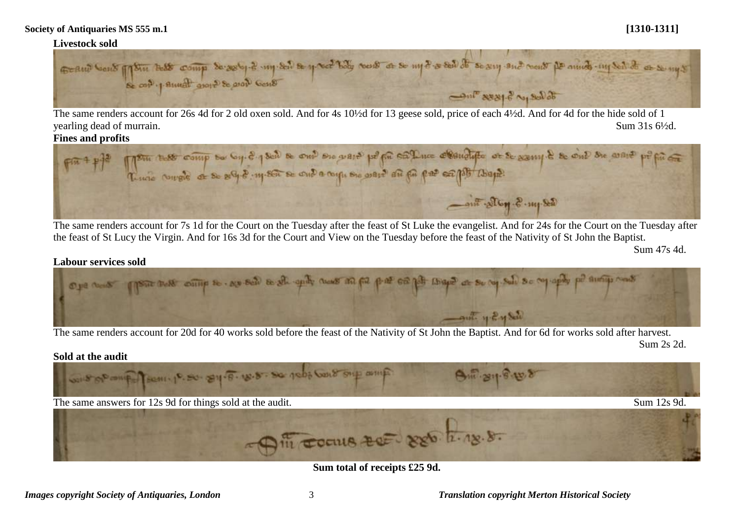

The same renders account for 26s 4d for 2 old oxen sold. And for 4s 10½d for 13 geese sold, price of each 4½d. And for 4d for the hide sold of 1 yearling dead of murrain. Sum 31s  $6\frac{1}{2}$ d.

# **Fines and profits**



The same renders account for 7s 1d for the Court on the Tuesday after the feast of St Luke the evangelist. And for 24s for the Court on the Tuesday after the feast of St Lucy the Virgin. And for 16s 3d for the Court and View on the Tuesday before the feast of the Nativity of St John the Baptist.

Sum 47s 4d.

### **Labour services sold**



The same renders account for 20d for 40 works sold before the feast of the Nativity of St John the Baptist. And for 6d for works sold after harvest.

Sum 2s 2d.



**Sum total of receipts £25 9d.**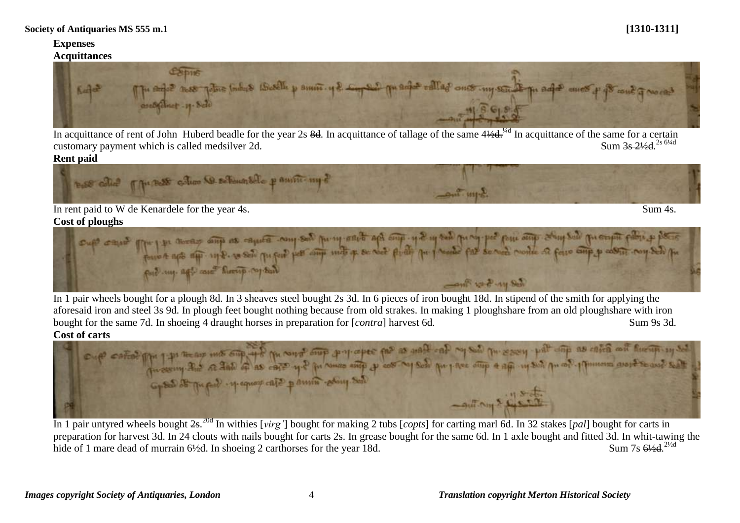### **Expenses Acquittances**



In acquittance of rent of John Huberd beadle for the year 2s  $8d$ . In acquittance of tallage of the same  $4\frac{1}{4}d$ .<sup>74d</sup> In acquittance of the same for a certain customary payment which is called medsilver 2d. Sum 3s 21/<sub>28</sub> <sup>2s 61/4d</sup>

### **Rent paid**



# **Cost of ploughs**



In 1 pair wheels bought for a plough 8d. In 3 sheaves steel bought 2s 3d. In 6 pieces of iron bought 18d. In stipend of the smith for applying the aforesaid iron and steel 3s 9d. In plough feet bought nothing because from old strakes. In making 1 ploughshare from an old ploughshare with iron bought for the same 7d. In shoeing 4 draught horses in preparation for [*contra*] harvest 6d. Sum 9s 3d.



In 1 pair untyred wheels bought 2s. 20d In withies [*virg'*] bought for making 2 tubs [*copts*] for carting marl 6d. In 32 stakes [*pal*] bought for carts in preparation for harvest 3d. In 24 clouts with nails bought for carts 2s. In grease bought for the same 6d. In 1 axle bought and fitted 3d. In whit-tawing the hide of 1 mare dead of murrain  $6\frac{1}{2}d$ . In shoeing 2 carthorses for the year 18d. Sum 7s  $6\frac{1}{2}$ d  $^{2\frac{1}{2}d}$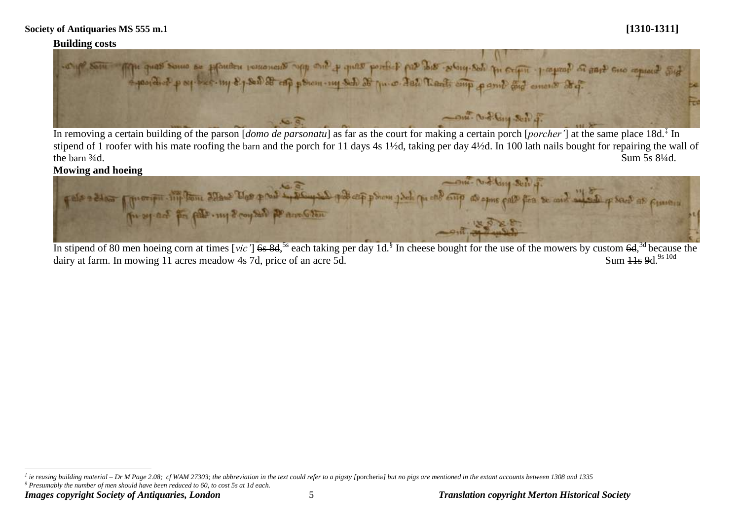# **Building costs**



In removing a certain building of the parson [*domo de parsonatu*] as far as the court for making a certain porch [*porcher'*] at the same place 18d.‡ In stipend of 1 roofer with his mate roofing the barn and the porch for 11 days 4s 1½d, taking per day 4½d. In 100 lath nails bought for repairing the wall of the barn  $\frac{3}{4}d$ . Sum 5s  $\frac{81}{4}d$ .

# **Mowing and hoeing**



In stipend of 80 men hoeing corn at times [*vic'*] 6s 8d,<sup>5s</sup> each taking per day 1d.<sup>§</sup> In cheese bought for the use of the mowers by custom 6d,<sup>3d</sup> because the dairy at farm. In mowing  $11$  acres meadow 4s 7d, price of an acre 5d. Sum  $11s$  9d.<sup>9s 10d</sup>

*§ Presumably the number of men should have been reduced to 60, to cost 5s at 1d each.*

 $\overline{a}$  $^{\ddag}$  ie reusing building material – Dr M Page 2.08; cf WAM 27303; the abbreviation in the text could refer to a pigsty [porcheria] but no pigs are mentioned in the extant accounts between 1308 and 1335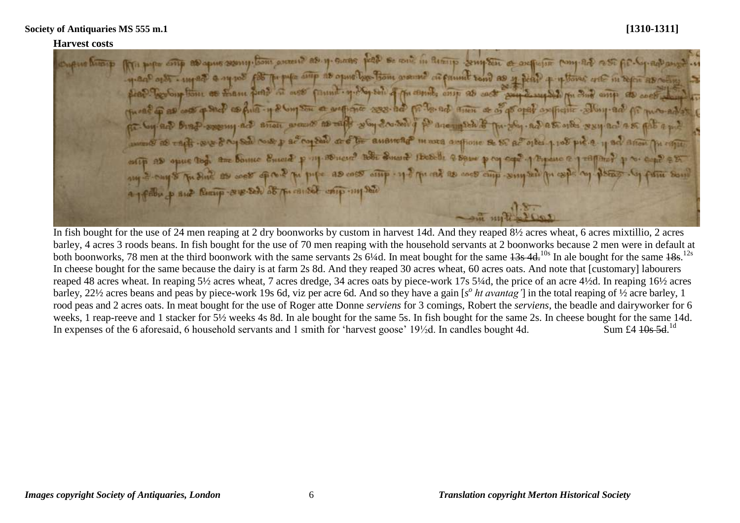### **Harvest costs**

The poper comp and aprile seems them arecent as y-states peak se come in Records complete as onefliction (nonp ad a St Art-Rep-ad) as and only in the world a name of the fire that find the town of the open of the state of the control of the control of the control of the control of the control of the control of the control of the control of the control of her Sup from as Esam find at ass frame y Noy ton of the country as each was such and my Bud ante as cont as Ana - y & Com Son as antique 288- ha friday to the ad their as of a popular selling and Ar P-supering act arrest areas to with why couldn't po are match & The share as a share way act as Sal Note y ac copen at 6 be ausward mana authorie Se SC ac 018et 1.108 pic.2 11 BC Elfon entity as opens that the bounce Encert pory Bonest? Hotel Smart Hobels & Some pory cap? A PREAMO @ 1 THING The Sun as west of the P The pipe as was only . 11- The oak as west comp-simple pics of is to and Remip-seus-sel as the caused entry-my sele om mit

In fish bought for the use of 24 men reaping at 2 dry boonworks by custom in harvest 14d. And they reaped 8½ acres wheat, 6 acres mixtillio, 2 acres barley, 4 acres 3 roods beans. In fish bought for the use of 70 men reaping with the household servants at 2 boonworks because 2 men were in default at both boonworks, 78 men at the third boonwork with the same servants  $2s$  6¼d. In meat bought for the same  $43s$  4d<sup>10s</sup> In ale bought for the same  $18s$ .<sup>12s</sup> In cheese bought for the same because the dairy is at farm 2s 8d. And they reaped 30 acres wheat, 60 acres oats. And note that [customary] labourers reaped 48 acres wheat. In reaping 5½ acres wheat, 7 acres dredge, 34 acres oats by piece-work 17s 5¼d, the price of an acre 4½d. In reaping 16½ acres barley, 22½ acres beans and peas by piece-work 19s 6d, viz per acre 6d. And so they have a gain [s<sup>o</sup> ht avantag'] in the total reaping of ½ acre barley, 1 rood peas and 2 acres oats. In meat bought for the use of Roger atte Donne *serviens* for 3 comings, Robert the *serviens*, the beadle and dairyworker for 6 weeks, 1 reap-reeve and 1 stacker for 5½ weeks 4s 8d. In ale bought for the same 5s. In fish bought for the same 2s. In cheese bought for the same 14d. In expenses of the 6 aforesaid, 6 household servants and 1 smith for 'harvest goose'  $19\frac{1}{2}$ d. In candles bought 4d. Sum £4  $10s$  5d  $^{1d}$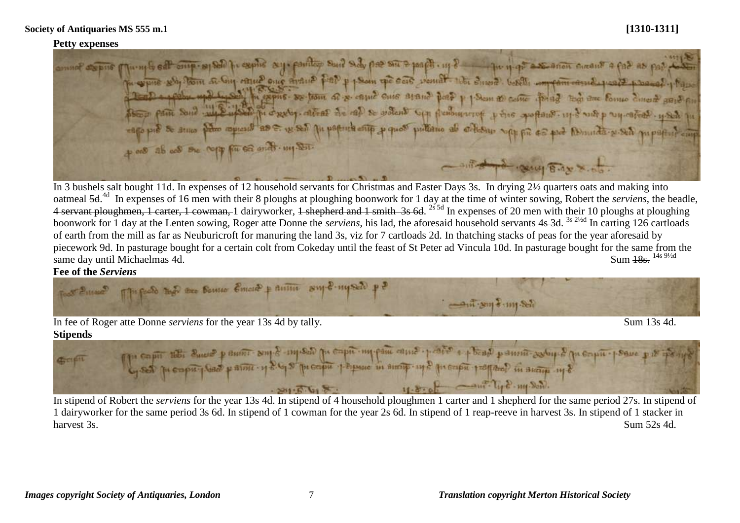### **Petty expenses**

Tungle off one of sold for expire any pointing suit side por site sports. up ? The in of a second circuit a for as par that po expire soby them at Gig come once anome poop p pour pe care venual the Smore. bords impromotive poor possed places pour faite sont mil en la case et al se al se volont up probuscry y the appears up out p up after y set pu capo put se senso paro appeard as E. 18.85 pu paporta entre y quos puttieno ab ortisau sopp fie as port Abranda y señ puparte cap 4 one ab as one repy for sa and my Sen. - ant depot complete x

In 3 bushels salt bought 11d. In expenses of 12 household servants for Christmas and Easter Days 3s. In drying 2½ quarters oats and making into oatmeal 5d. 4d In expenses of 16 men with their 8 ploughs at ploughing boonwork for 1 day at the time of winter sowing, Robert the *serviens*, the beadle, 4 servant ploughmen, 1 carter, 1 cowman, 1 dairyworker, 1 shepherd and 1 smith 3s 6d. <sup>2s 5d</sup> In expenses of 20 men with their 10 ploughs at ploughing boonwork for 1 day at the Lenten sowing, Roger atte Donne the *serviens*, his lad, the aforesaid household servants 4s 3d. <sup>3s 2½d</sup> In carting 126 cartloads of earth from the mill as far as Neuburicroft for manuring the land 3s, viz for 7 cartloads 2d. In thatching stacks of peas for the year aforesaid by piecework 9d. In pasturage bought for a certain colt from Cokeday until the feast of St Peter ad Vincula 10d. In pasturage bought for the same from the same day until Michaelmas 4d. same day until Michaelmas 4d.

Fee of the *Serviens*<br> **Figure 2 Figure 3 has the Banno Emerge p and a single myself p ?**  $-4\pi$   $\sin\frac{2}{3}$  any  $-8\pi$ 

In fee of Roger atte Donne *serviens* for the year 13s 4d by tally. Sum 13s 4d. **Stipends**

The capit the Sund panom sup 8 - my set pe capit my pain came - prate + Band panom serby & pe capit - pearc pit if Graph  $-$ ant  $T_{11}$ 8 mp Son. SIDTAIRS.

In stipend of Robert the *serviens* for the year 13s 4d. In stipend of 4 household ploughmen 1 carter and 1 shepherd for the same period 27s. In stipend of 1 dairyworker for the same period 3s 6d. In stipend of 1 cowman for the year 2s 6d. In stipend of 1 reap-reeve in harvest 3s. In stipend of 1 stacker in harvest 3s. Sum 52s 4d.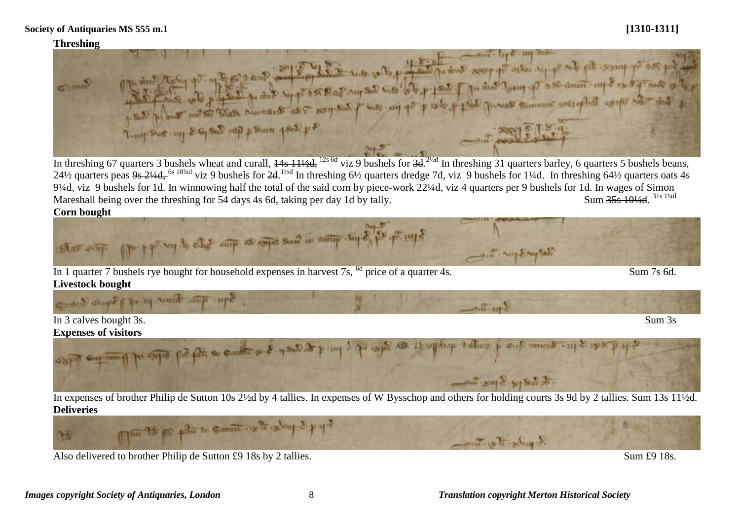### **Threshing**



In threshing 67 quarters 3 bushels wheat and curall,  $\frac{14s}{11}$   $\frac{11}{2d}$ ,  $\frac{12s}{6d}$  viz 9 bushels for  $\frac{3d}{d}$ . In threshing 31 quarters barley, 6 quarters 5 bushels beans, 24½ quarters peas 9s 2¼d, <sup>6s 10¼d</sup> viz 9 bushels for 2d.<sup>1½d</sup> In threshing 6½ quarters dredge 7d, viz 9 bushels for 1¼d. In threshing 64½ quarters oats 4s 9¼d, viz 9 bushels for 1d. In winnowing half the total of the said corn by piece-work 22¼d, viz 4 quarters per 9 bushels for 1d. In wages of Simon Mareshall being over the threshing for 54 days 4s 6d, taking per day 1d by tally.  $Sum 35s 104/d$  31s 11/4d

**Corn bought**





Also delivered to brother Philip de Sutton £9 18s by 2 tallies. Sum £9 18s.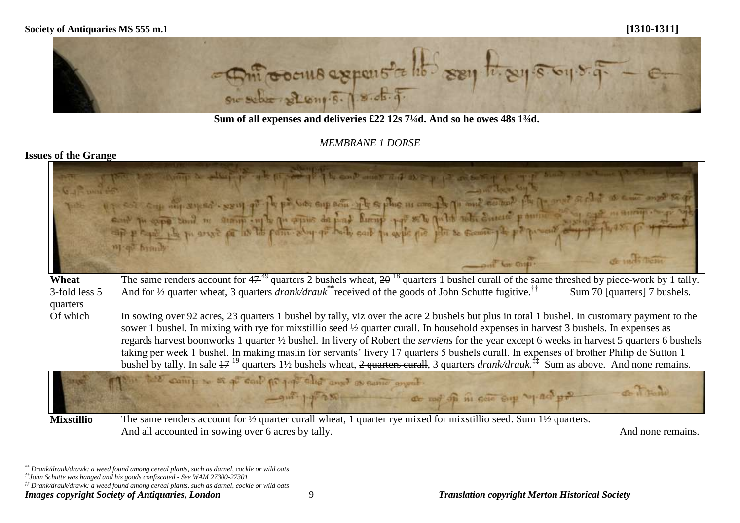

**Sum of all expenses and deliveries £22 12s 7¼d. And so he owes 48s 1¾d.**

# *MEMBRANE 1 DORSE*

# **Issues of the Grange**

|                        | one is the compact when it is a set of the contemporare as a proposed to the content<br>out to call the bound of parts begin spid in your and in style the har second of the brown and the present of the<br>de nucli Them.                                                                                                                                                                                                                                                                                                                                                                                                                                                                                                                 |
|------------------------|---------------------------------------------------------------------------------------------------------------------------------------------------------------------------------------------------------------------------------------------------------------------------------------------------------------------------------------------------------------------------------------------------------------------------------------------------------------------------------------------------------------------------------------------------------------------------------------------------------------------------------------------------------------------------------------------------------------------------------------------|
|                        | Cont for one.<br>The same renders account for $47^{49}$ quarters 2 bushels wheat, $2\theta^{18}$ quarters 1 bushel curall of the same threshed by piece-work by 1 tally.                                                                                                                                                                                                                                                                                                                                                                                                                                                                                                                                                                    |
| Wheat<br>3-fold less 5 | And for $\frac{1}{2}$ quarter wheat, 3 quarters <i>drank/drauk</i> <sup>**</sup> received of the goods of John Schutte fugitive. <sup>††</sup><br>Sum 70 [quarters] 7 bushels.                                                                                                                                                                                                                                                                                                                                                                                                                                                                                                                                                              |
| quarters               |                                                                                                                                                                                                                                                                                                                                                                                                                                                                                                                                                                                                                                                                                                                                             |
| Of which               | In sowing over 92 acres, 23 quarters 1 bushel by tally, viz over the acre 2 bushels but plus in total 1 bushel. In customary payment to the<br>sower 1 bushel. In mixing with rye for mixstillio seed 1/2 quarter curall. In household expenses in harvest 3 bushels. In expenses as<br>regards harvest boonworks 1 quarter 1/2 bushel. In livery of Robert the serviens for the year except 6 weeks in harvest 5 quarters 6 bushels<br>taking per week 1 bushel. In making maslin for servants' livery 17 quarters 5 bushels curall. In expenses of brother Philip de Sutton 1<br>bushel by tally. In sale $17^{19}$ quarters 1½ bushels wheat, $2$ quarters curall, 3 quarters drank/drauk. <sup>‡‡</sup> Sum as above. And none remains. |
|                        | The told comp to as a cont for paper and and as came anyal.<br>of Home<br>or out put assessment at not of in seit sup top and pro-                                                                                                                                                                                                                                                                                                                                                                                                                                                                                                                                                                                                          |
| <b>Mixstillio</b>      | The same renders account for $\frac{1}{2}$ quarter curall wheat, 1 quarter rye mixed for mixstillio seed. Sum 1 $\frac{1}{2}$ quarters.                                                                                                                                                                                                                                                                                                                                                                                                                                                                                                                                                                                                     |

And all accounted in sowing over 6 acres by tally. And none remains.

 $\overline{a}$ 

*<sup>\*\*</sup> Drank/drauk/drawk: a weed found among cereal plants, such as darnel, cockle or wild oats*

*<sup>††</sup>John Schutte was hanged and his goods confiscated - See WAM 27300-27301*

*<sup>‡‡</sup> Drank/drauk/drawk: a weed found among cereal plants, such as darnel, cockle or wild oats*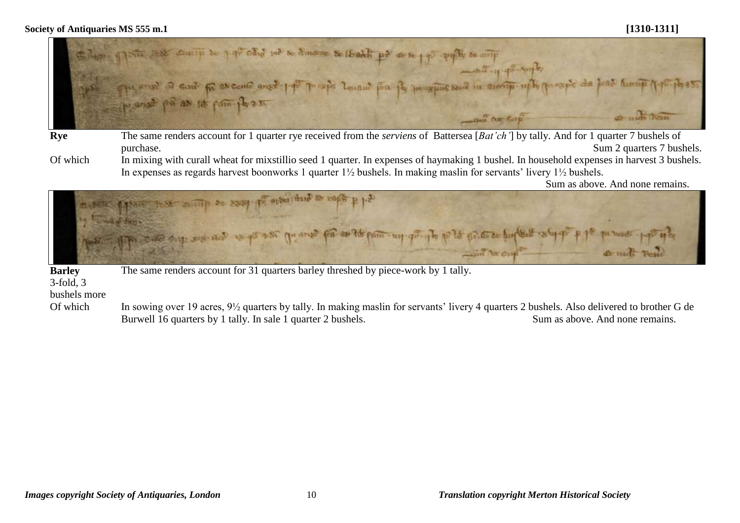

- **Rye** The same renders account for 1 quarter rye received from the *serviens* of Battersea [*Bat'ch'*] by tally. And for 1 quarter 7 bushels of purchase. Sum 2 quarters 7 bushels.
- Of which In mixing with curall wheat for mixstillio seed 1 quarter. In expenses of haymaking 1 bushel. In household expenses in harvest 3 bushels. In expenses as regards harvest boonworks 1 quarter 1½ bushels. In making maslin for servants' livery 1½ bushels.

Sum as above. And none remains.



The same renders account for 31 quarters barley threshed by piece-work by 1 tally.

3-fold, 3

bushels more

Of which In sowing over 19 acres,  $9\frac{1}{2}$  quarters by tally. In making maslin for servants' livery 4 quarters 2 bushels. Also delivered to brother G de Burwell 16 quarters by 1 tally. In sale 1 quarter 2 bushels. Sum as above. And none remains.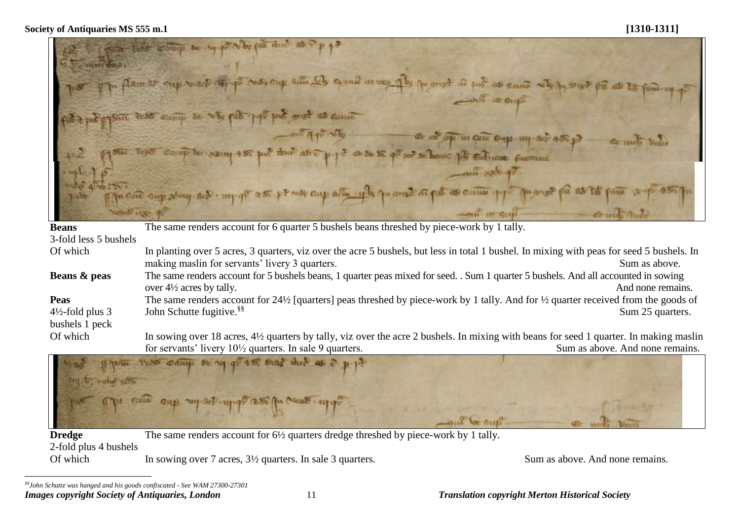by file thin  $\alpha$  $\mathbf{r}$ **COMMITTEE** Frence of the case in Second Rain הת מו **C'ANTIO BA ING Viville**  $ABC$  $dE \gg \sum q_i^{\alpha}$  $\approx 2$  1314  $-4 - 5$ ter SE bomic  $\frac{1}{2}$  $\pi$  and  $\pi$  and **AS COSTAL** Oitto acin **WACLE QUE**  $1444 - 52$ **NOW THEY**  $-mu$  it  $Q_1$ ď.

| <b>Beans</b>                                                                                                                                        | The same renders account for 6 quarter 5 bushels beans threshed by piece-work by 1 tally.                                                                 |                                 |  |
|-----------------------------------------------------------------------------------------------------------------------------------------------------|-----------------------------------------------------------------------------------------------------------------------------------------------------------|---------------------------------|--|
| 3-fold less 5 bushels                                                                                                                               |                                                                                                                                                           |                                 |  |
| Of which                                                                                                                                            | In planting over 5 acres, 3 quarters, viz over the acre 5 bushels, but less in total 1 bushel. In mixing with peas for seed 5 bushels. In                 |                                 |  |
|                                                                                                                                                     | making maslin for servants' livery 3 quarters.                                                                                                            | Sum as above.                   |  |
| The same renders account for 5 bushels beans, 1 quarter peas mixed for seed. . Sum 1 quarter 5 bushels. And all accounted in sowing<br>Beans & peas |                                                                                                                                                           |                                 |  |
|                                                                                                                                                     | over $4\frac{1}{2}$ acres by tally.                                                                                                                       | And none remains.               |  |
| <b>Peas</b>                                                                                                                                         | The same renders account for 24 $\frac{1}{2}$ [quarters] peas threshed by piece-work by 1 tally. And for $\frac{1}{2}$ quarter received from the goods of |                                 |  |
| $4\frac{1}{2}$ -fold plus 3                                                                                                                         | John Schutte fugitive. <sup>§§</sup>                                                                                                                      | Sum 25 quarters.                |  |
| bushels 1 peck                                                                                                                                      |                                                                                                                                                           |                                 |  |
| Of which                                                                                                                                            | In sowing over 18 acres, 4½ quarters by tally, viz over the acre 2 bushels. In mixing with beans for seed 1 quarter. In making maslin                     |                                 |  |
|                                                                                                                                                     | for servants' livery $10\frac{1}{2}$ quarters. In sale 9 quarters.                                                                                        | Sum as above. And none remains. |  |
|                                                                                                                                                     |                                                                                                                                                           |                                 |  |



The same renders account for 6½ quarters dredge threshed by piece-work by 1 tally.

2-fold plus 4 bushels

Of which In sowing over 7 acres,  $3\frac{1}{2}$  quarters. In sale 3 quarters. Sum as above. And none remains.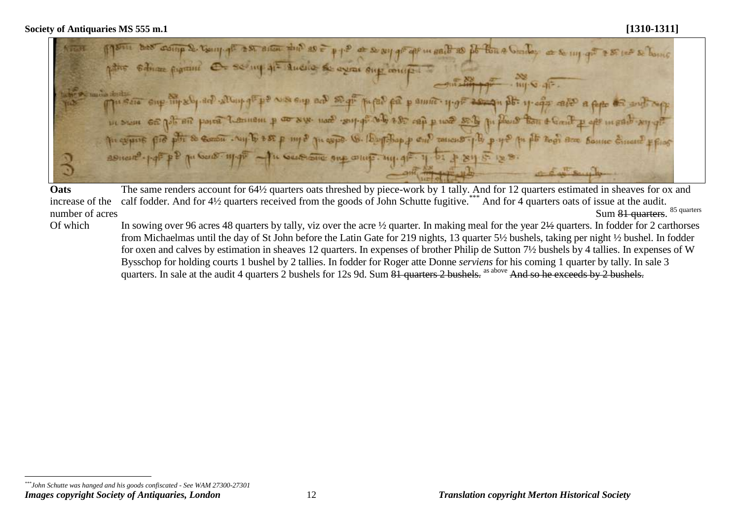Coing & Using of AM ailor and as at so suy and are in sail as it then a Grader evrat Step control for p amic - H-off 25  $250$  rea p  $102$ **DE SYSTE** Taticus 5-1-by W. Dayleban p Cut **HEQUES** SUICIDING SILE CHINE. MILLA

**Oats**  increase of the calf fodder. And for 4½ quarters received from the goods of John Schutte fugitive.<sup>\*\*\*</sup> And for 4 quarters oats of issue at the audit. number of acres The same renders account for 64½ quarters oats threshed by piece-work by 1 tally. And for 12 quarters estimated in sheaves for ox and Sum 81 quarters. 85 quarters

Of which In sowing over 96 acres 48 quarters by tally, viz over the acre ½ quarter. In making meal for the year  $2\frac{1}{2}$  quarters. In fodder for 2 carthorses from Michaelmas until the day of St John before the Latin Gate for 219 nights, 13 quarter 5½ bushels, taking per night ½ bushel. In fodder for oxen and calves by estimation in sheaves 12 quarters. In expenses of brother Philip de Sutton 7½ bushels by 4 tallies. In expenses of W Bysschop for holding courts 1 bushel by 2 tallies. In fodder for Roger atte Donne *serviens* for his coming 1 quarter by tally. In sale 3 quarters. In sale at the audit 4 quarters 2 bushels for 12s 9d. Sum 81 quarters 2 bushels. as above And so he exceeds by 2 bushels.

*Images copyright Society of Antiquaries, London* 12 *Translation copyright Merton Historical Society*  $\overline{a}$ *\*\*\*John Schutte was hanged and his goods confiscated - See WAM 27300-27301*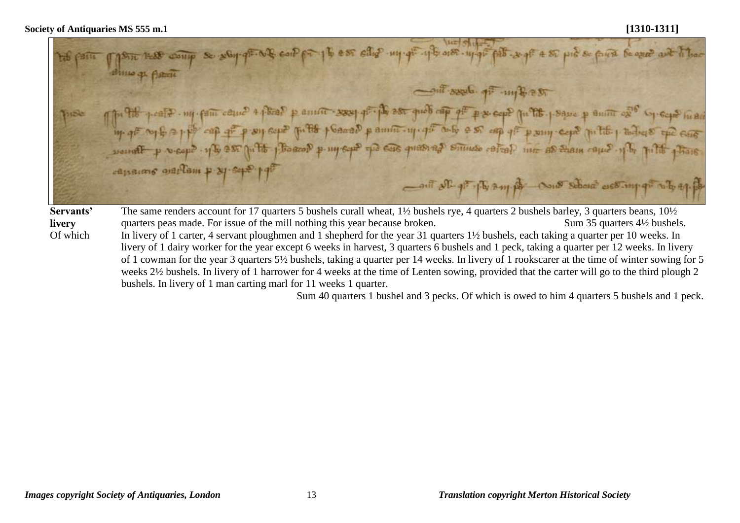E. WE can po 16 est elle un que y bass uppe pet es piès piès para le que aut l'hac thing of Astro Cont seed of my Best p. 976 p. cate . ny fant came + plead p annet see profit ast queb cap of p e cape pu 978. passe p annet ex s specie mar<br>by of sy f = pp cap of p ey superfit p sacad p annet - y gi sub e so cap of p eny cape putto p todio t soundt p veop? - y to 200 p. To poor y - my eye po cas quasing simulo coral int as tham one? y to pitto y tous canains warlam p & sept 19th Control of the any por construction of my of all of ap. The same renders account for 17 quarters 5 bushels curall wheat, 1½ bushels rye, 4 quarters 2 bushels barley, 3 quarters beans, 10½ **Servants' livery** quarters peas made. For issue of the mill nothing this year because broken. Sum 35 quarters 4½ bushels. Of which In livery of 1 carter, 4 servant ploughmen and 1 shepherd for the year 31 quarters 1½ bushels, each taking a quarter per 10 weeks. In livery of 1 dairy worker for the year except 6 weeks in harvest, 3 quarters 6 bushels and 1 peck, taking a quarter per 12 weeks. In livery of 1 cowman for the year 3 quarters 5½ bushels, taking a quarter per 14 weeks. In livery of 1 rookscarer at the time of winter sowing for 5 weeks 2½ bushels. In livery of 1 harrower for 4 weeks at the time of Lenten sowing, provided that the carter will go to the third plough 2 bushels. In livery of 1 man carting marl for 11 weeks 1 quarter.

Sum 40 quarters 1 bushel and 3 pecks. Of which is owed to him 4 quarters 5 bushels and 1 peck.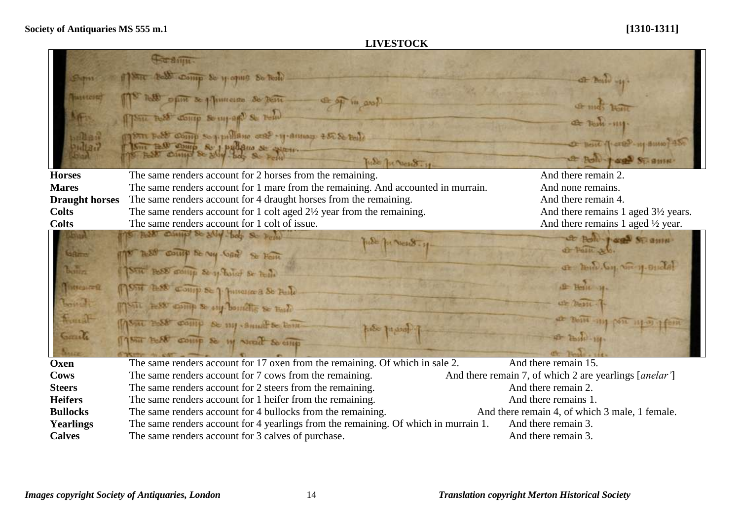# **LIVESTOCK**

|                       | Str aim                                                                             |                                                                             |
|-----------------------|-------------------------------------------------------------------------------------|-----------------------------------------------------------------------------|
| Smit                  | 18TC Bell Comp Se y opus So Beste                                                   | $4F$ Poste $-11$ .                                                          |
| Tuestcont             | now opin se plimana so tem<br>Et off in anot                                        | <b>Christian Line</b>                                                       |
|                       | Thu hold doing So mpage Se Fond                                                     | <del>et</del> Testi -1111                                                   |
| $n$ les<br>ndta ?     | See Base comp Soppullane and premium to Settle                                      | D Bent 1-ere? 111 BUNO 135                                                  |
|                       | SITE BOD COMP So I pullano se sperio.<br>Fude The Messer . 11.                      | <b>A Bolt + age St. amn</b> .                                               |
| <b>Horses</b>         | The same renders account for 2 horses from the remaining.                           | And there remain 2.                                                         |
| <b>Mares</b>          | The same renders account for 1 mare from the remaining. And accounted in murrain.   | And none remains.                                                           |
| <b>Draught horses</b> | The same renders account for 4 draught horses from the remaining.                   | And there remain 4.                                                         |
| <b>Colts</b>          | The same renders account for 1 colt aged $2\frac{1}{2}$ year from the remaining.    | And there remains 1 aged 3½ years.                                          |
| <b>Colts</b>          | The same renders account for 1 colt of issue.                                       | And there remains 1 aged $\frac{1}{2}$ year.                                |
|                       | AND CLIMBS SE SUY-bob So Pem<br>nest for New 3-29                                   | & Bold rage Stramu-                                                         |
| GRms                  | 7-88 count se my hand So Form                                                       | of Palic al.                                                                |
| b <sub>on</sub>       | STIL BOOD months Se of Banco Se feath                                               | or hunder one y onda                                                        |
| <b>Mintrealman</b>    | 175m BSS Comp Se 7 Juneire a St Fule                                                | $+$ Herit $-$ H                                                             |
| Lowell                | Mont less comp se out bounding se made                                              | ut Desit                                                                    |
| Frank                 | MSAL BOSS COMP De my Summe de tom-<br>fue page                                      | $22 - 26414 - 111$                                                          |
| Cometa                | 1750 BOAT COMP So My North So emp                                                   | $F - T_{\text{b}}$                                                          |
| Oxen                  | The same renders account for 17 oxen from the remaining. Of which in sale 2.        | And there remain 15.                                                        |
| Cows                  | The same renders account for 7 cows from the remaining.                             | And there remain 7, of which 2 are yearlings [ <i>anelar</i> <sup>'</sup> ] |
| <b>Steers</b>         | The same renders account for 2 steers from the remaining.                           | And there remain 2.                                                         |
| <b>Heifers</b>        | The same renders account for 1 heifer from the remaining.                           | And there remains 1.                                                        |
| <b>Bullocks</b>       | The same renders account for 4 bullocks from the remaining.                         | And there remain 4, of which 3 male, 1 female.                              |
| <b>Yearlings</b>      | The same renders account for 4 yearlings from the remaining. Of which in murrain 1. | And there remain 3.                                                         |
| <b>Calves</b>         | The same renders account for 3 calves of purchase.                                  | And there remain 3.                                                         |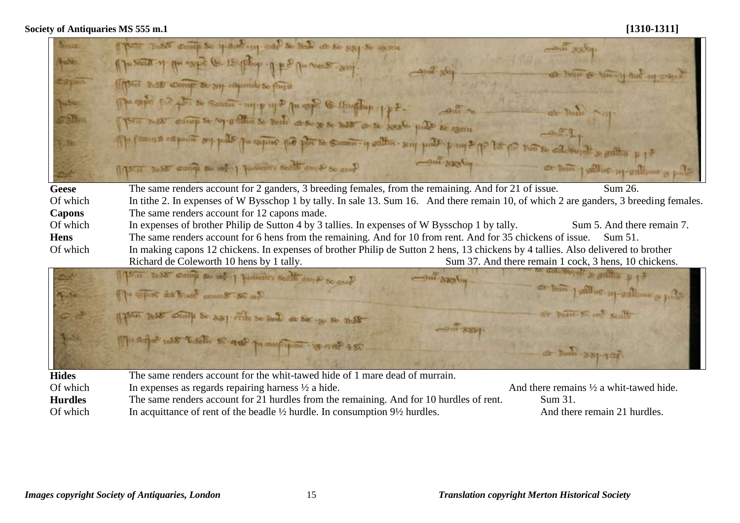| Nesser         | TYPE TODAY COMP So yes in and your so bell as so say so were                                                                           | pouse inco-                                           |  |
|----------------|----------------------------------------------------------------------------------------------------------------------------------------|-------------------------------------------------------|--|
| <b>Index</b>   | 1) South of the expect (6. 15 flapod. 1) # 2 persons sun<br>anni-xVI                                                                   |                                                       |  |
| <b>Capon</b>   | There are come a sy esponds to found                                                                                                   | of board or the of Auto of order                      |  |
| hubu           | The copy fig fig of so come . mich why be copy @ 1 particle . 1 p &-<br>$\frac{1}{2}$                                                  | at Both N31                                           |  |
| <b>Saltin</b>  | The next comp se ry stilling se tente at se ses next at se seeds pulle se cann                                                         | $-9.5.3$                                              |  |
| KS.            | The families compared and believe the the second of action - any ports pand of the fit the collection of a stilling p 1+               |                                                       |  |
|                | <b>HOERS-THE</b><br>TISTE THEST comp as lost 1. Juniority seatt and & so and                                                           | or tem just us m-sallimo's pole                       |  |
| Geese          | The same renders account for 2 ganders, 3 breeding females, from the remaining. And for 21 of issue.                                   | Sum 26.                                               |  |
| Of which       | In tithe 2. In expenses of W Bysschop 1 by tally. In sale 13. Sum 16. And there remain 10, of which 2 are ganders, 3 breeding females. |                                                       |  |
| <b>Capons</b>  | The same renders account for 12 capons made.                                                                                           |                                                       |  |
| Of which       | In expenses of brother Philip de Sutton 4 by 3 tallies. In expenses of W Bysschop 1 by tally.                                          | Sum 5. And there remain 7.                            |  |
| <b>Hens</b>    | The same renders account for 6 hens from the remaining. And for 10 from rent. And for 35 chickens of issue.<br>Sum 51.                 |                                                       |  |
| Of which       | In making capons 12 chickens. In expenses of brother Philip de Sutton 2 hens, 13 chickens by 4 tallies. Also delivered to brother      |                                                       |  |
|                | Richard de Coleworth 10 hens by 1 tally.                                                                                               | Sum 37. And there remain 1 cock, 3 hens, 10 chickens. |  |
|                | Type of Area different planet par les quiets and metall<br>$-m^2$ 8800 $G_{\rm H}$                                                     | delevered & gatha p 1-                                |  |
| <b>Video</b>   | The Spirit da buch cross & St cap.                                                                                                     | as here pallies up and the spile                      |  |
|                | (pour less comp & say the so feel at Se . so se nest<br><b>HOUSE TIME</b>                                                              | or pant Weel Stats                                    |  |
| 3,553          |                                                                                                                                        |                                                       |  |
|                | 1791 adjoint to the 18 and promption is and 250                                                                                        | or non-281-187.                                       |  |
| <b>Hides</b>   | The same renders account for the whit-tawed hide of 1 mare dead of murrain.                                                            |                                                       |  |
| Of which       | In expenses as regards repairing harness $\frac{1}{2}$ a hide.                                                                         | And there remains $\frac{1}{2}$ a whit-tawed hide.    |  |
| <b>Hurdles</b> | The same renders account for 21 hurdles from the remaining. And for 10 hurdles of rent.                                                | Sum 31.                                               |  |
| Of which       | In acquittance of rent of the beadle $\frac{1}{2}$ hurdle. In consumption $9\frac{1}{2}$ hurdles.                                      | And there remain 21 hurdles.                          |  |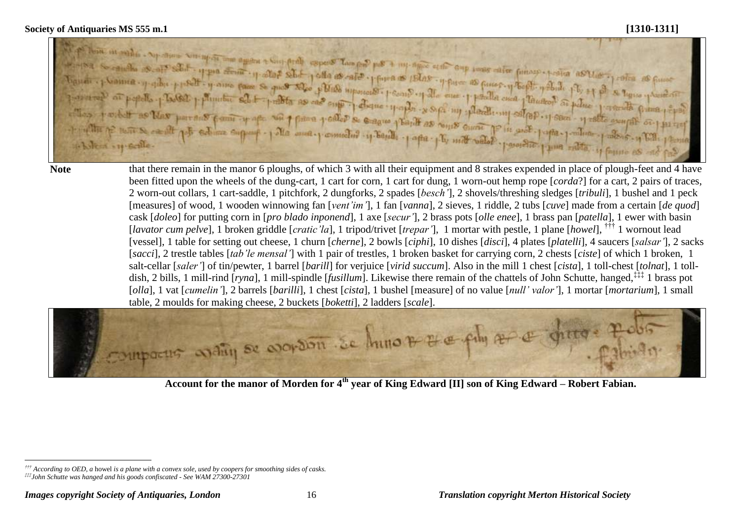side problement some para se quos toles plus avento prima se islas y pues as puesto y tooli no plumber sel + problem as case superiorist please page of the case probable case pleased as police proceeds plans point y af an place y coller se craque y bandt as coms quant Pin good - pattern 1 The one powerful y bank . paper for mother offer **Scoutzz** Sun vient vre-ficille

 $\overline{a}$ 

Note that there remain in the manor 6 ploughs, of which 3 with all their equipment and 8 strakes expended in place of plough-feet and 4 have been fitted upon the wheels of the dung-cart, 1 cart for corn, 1 cart for dung, 1 worn-out hemp rope [*corda*?] for a cart, 2 pairs of traces, 2 worn-out collars, 1 cart-saddle, 1 pitchfork, 2 dungforks, 2 spades [*besch'*], 2 shovels/threshing sledges [*tribuli*], 1 bushel and 1 peck [measures] of wood, 1 wooden winnowing fan [*vent'im'*], 1 fan [*vanna*], 2 sieves, 1 riddle, 2 tubs [*cuve*] made from a certain [*de quod*] cask [*doleo*] for putting corn in [*pro blado inponend*], 1 axe [*secur'*], 2 brass pots [*olle enee*], 1 brass pan [*patella*], 1 ewer with basin [*lavator cum pelve*], 1 broken griddle [*cratic'la*], 1 tripod/trivet [*trepar'*], 1 mortar with pestle, 1 plane [*howel*], ††† 1 wornout lead [vessel], 1 table for setting out cheese, 1 churn [*cherne*], 2 bowls [*ciphi*], 10 dishes [*disci*], 4 plates [*platelli*], 4 saucers [*salsar'*], 2 sacks [*sacci*], 2 trestle tables [*tab'le mensal'*] with 1 pair of trestles, 1 broken basket for carrying corn, 2 chests [*ciste*] of which 1 broken, 1 salt-cellar [*saler'*] of tin/pewter, 1 barrel [*barill*] for verjuice [*virid succum*]. Also in the mill 1 chest [*cista*], 1 toll-chest [*tolnat*], 1 tolldish, 2 bills, 1 mill-rind [*ryna*], 1 mill-spindle [*fusillum*]. Likewise there remain of the chattels of John Schutte, hanged,‡‡‡ 1 brass pot [*olla*], 1 vat [*cumelin'*], 2 barrels [*barilli*], 1 chest [*cista*], 1 bushel [measure] of no value [*null' valor'*], 1 mortar [*mortarium*], 1 small table, 2 moulds for making cheese, 2 buckets [*boketti*], 2 ladders [*scale*].



**Account for the manor of Morden for 4th year of King Edward [II] son of King Edward – Robert Fabian.**

*<sup>†††</sup> According to OED, a* howel *is a plane with a convex sole, used by coopers for smoothing sides of casks. ‡‡‡John Schutte was hanged and his goods confiscated - See WAM 27300-27301*